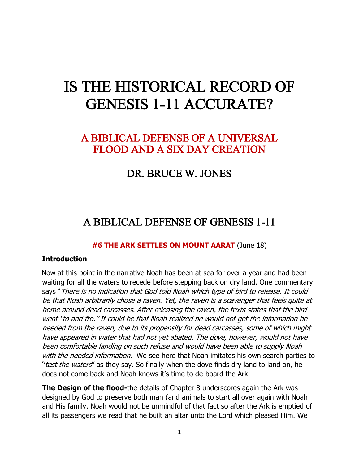# IS THE HISTORICAL RECORD OF GENESIS 1-11 ACCURATE?

## A BIBLICAL DEFENSE OF A UNIVERSAL FLOOD AND A SIX DAY CREATION

## DR. BRUCE W. JONES

# A BIBLICAL DEFENSE OF GENESIS 1-11

### **#6 THE ARK SETTLES ON MOUNT AARAT** (June 18)

#### **Introduction**

Now at this point in the narrative Noah has been at sea for over a year and had been waiting for all the waters to recede before stepping back on dry land. One commentary says "There is no indication that God told Noah which type of bird to release. It could be that Noah arbitrarily chose a raven. Yet, the raven is a scavenger that feels quite at home around dead carcasses. After releasing the raven, the texts states that the bird went "to and fro." It could be that Noah realized he would not get the information he needed from the raven, due to its propensity for dead carcasses, some of which might have appeared in water that had not yet abated. The dove, however, would not have been comfortable landing on such refuse and would have been able to supply Noah with the needed information. We see here that Noah imitates his own search parties to "*test the waters*" as they say. So finally when the dove finds dry land to land on, he does not come back and Noah knows it's time to de-board the Ark.

**The Design of the flood-**the details of Chapter 8 underscores again the Ark was designed by God to preserve both man (and animals to start all over again with Noah and His family. Noah would not be unmindful of that fact so after the Ark is emptied of all its passengers we read that he built an altar unto the Lord which pleased Him. We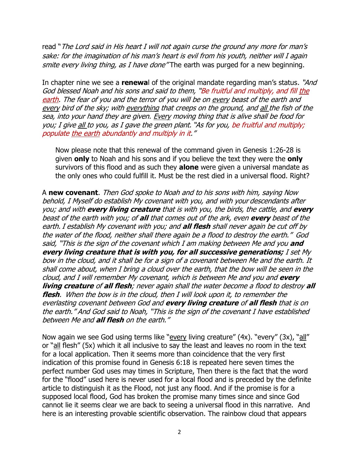read "The Lord said in His heart I will not again curse the ground any more for man's sake: for the imagination of his man's heart is evil from his youth, neither will I again smite every living thing, as I have done "The earth was purged for a new beginning.

In chapter nine we see a **renewa**l of the original mandate regarding man's status. "And God blessed Noah and his sons and said to them, "Be fruitful and multiply, and fill the earth. The fear of you and the terror of you will be on every beast of the earth and every bird of the sky; with everything that creeps on the ground, and all the fish of the sea, into your hand they are given. Every moving thing that is alive shall be food for you; I give all to you, as I gave the green plant. "As for you, be fruitful and multiply; populate the earth abundantly and multiply in it."

Now please note that this renewal of the command given in Genesis 1:26-28 is given **only** to Noah and his sons and if you believe the text they were the **only** survivors of this flood and as such they **alone** were given a universal mandate as the only ones who could fulfill it. Must be the rest died in a universal flood. Right?

A **new covenant**. Then God spoke to Noah and to his sons with him, saying Now behold, I Myself do establish My covenant with you, and with your descendants after you; and with **every living creature** that is with you, the birds, the cattle, and **every** beast of the earth with you; of **all** that comes out of the ark, even **every** beast of the earth. I establish My covenant with you; and **all flesh** shall never again be cut off by the water of the flood, neither shall there again be a flood to destroy the earth." God said, "This is the sign of the covenant which I am making between Me and you **and every living creature that is with you, for all successive generations;** I set My bow in the cloud, and it shall be for a sign of a covenant between Me and the earth. It shall come about, when I bring a cloud over the earth, that the bow will be seen in the cloud, and I will remember My covenant, which is between Me and you and **every living creature** of **all flesh**; never again shall the water become a flood to destroy **all flesh**. When the bow is in the cloud, then I will look upon it, to remember the everlasting covenant between God and **every living creature** of **all flesh** that is on the earth." And God said to Noah, "This is the sign of the covenant I have established between Me and **all flesh** on the earth."

Now again we see God using terms like "every living creature" (4x). "every" (3x), "all" or "all flesh" (5x) which it all inclusive to say the least and leaves no room in the text for a local application. Then it seems more than coincidence that the very first indication of this promise found in Genesis 6:18 is repeated here seven times the perfect number God uses may times in Scripture, Then there is the fact that the word for the "flood" used here is never used for a local flood and is preceded by the definite article to distinguish it as the Flood, not just any flood. And if the promise is for a supposed local flood, God has broken the promise many times since and since God cannot lie it seems clear we are back to seeing a universal flood in this narrative. And here is an interesting provable scientific observation. The rainbow cloud that appears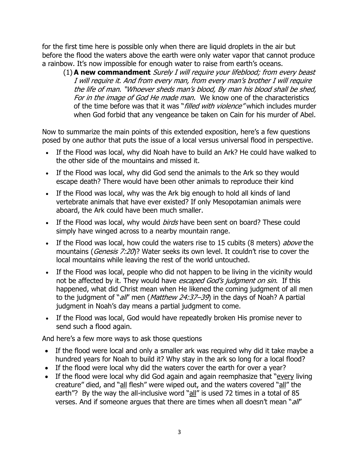for the first time here is possible only when there are liquid droplets in the air but before the flood the waters above the earth were only water vapor that cannot produce a rainbow. It's now impossible for enough water to raise from earth's oceans.

(1) **A new commandment** Surely I will require your lifeblood; from every beast I will require it. And from every man, from every man's brother I will require the life of man. "Whoever sheds man's blood, By man his blood shall be shed, For in the image of God He made man. We know one of the characteristics of the time before was that it was "*filled with violence*" which includes murder when God forbid that any vengeance be taken on Cain for his murder of Abel.

Now to summarize the main points of this extended exposition, here's a few questions posed by one author that puts the issue of a local versus universal flood in perspective.

- If the Flood was local, why did Noah have to build an Ark? He could have walked to the other side of the mountains and missed it.
- If the Flood was local, why did God send the animals to the Ark so they would escape death? There would have been other animals to reproduce their kind
- If the Flood was local, why was the Ark big enough to hold all kinds of land vertebrate animals that have ever existed? If only Mesopotamian animals were aboard, the Ark could have been much smaller.
- If the Flood was local, why would *birds* have been sent on board? These could simply have winged across to a nearby mountain range.
- If the Flood was local, how could the waters rise to 15 cubits (8 meters) above the mountains (*[Genesis 7:20](http://biblia.com/bible/nkjv/Gen%207.20)*)? Water seeks its own level. It couldn't rise to cover the local mountains while leaving the rest of the world untouched.
- If the Flood was local, people who did not happen to be living in the vicinity would not be affected by it. They would have escaped God's judgment on sin. If this happened, what did Christ mean when He likened the coming judgment of all men to the judgment of "*all'* men (*[Matthew 24:37](http://biblia.com/bible/nkjv/Matt%2024.37%E2%80%9339)–39*) in the days of Noah? A partial judgment in Noah's day means a partial judgment to come.
- If the Flood was local, God would have repeatedly broken His promise never to send such a flood again.

And here's a few more ways to ask those questions

- If the flood were local and only a smaller ark was required why did it take maybe a hundred years for Noah to build it? Why stay in the ark so long for a local flood?
- If the flood were local why did the waters cover the earth for over a year?
- If the flood were local why did God again and again reemphasize that "every living creature" died, and "all flesh" were wiped out, and the waters covered "all" the earth"? By the way the all-inclusive word "all" is used 72 times in a total of 85 verses. And if someone argues that there are times when all doesn't mean "all"